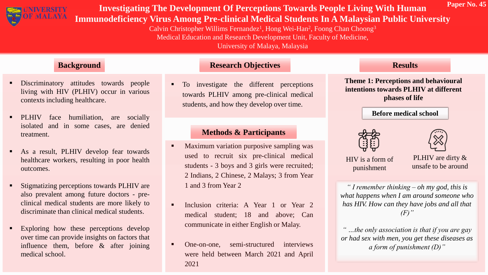

# **Investigating The Development Of Perceptions Towards People Living With Human Immunodeficiency Virus Among Pre-clinical Medical Students In A Malaysian Public University**

Calvin Christopher Willims Fernandez<sup>1</sup>, Hong Wei-Han<sup>2</sup>, Foong Chan Choong<sup>3</sup> Medical Education and Research Development Unit, Faculty of Medicine, University of Malaya, Malaysia

- Discriminatory attitudes towards people living with HIV (PLHIV) occur in various contexts including healthcare.
- **PLHIV** face humiliation, are socially isolated and in some cases, are denied treatment.
- As a result, PLHIV develop fear towards healthcare workers, resulting in poor health outcomes.
- **Stigmatizing perceptions towards PLHIV are** also prevalent among future doctors - preclinical medical students are more likely to discriminate than clinical medical students.
- Exploring how these perceptions develop over time can provide insights on factors that influence them, before & after joining medical school.

#### **Background Research Objectives**

 $\blacksquare$  To investigate the different perceptions towards PLHIV among pre-clinical medical students, and how they develop over time.

## **Methods & Participants**

- **•** Maximum variation purposive sampling was used to recruit six pre-clinical medical students - 3 boys and 3 girls were recruited; 2 Indians, 2 Chinese, 2 Malays; 3 from Year 1 and 3 from Year 2
- Inclusion criteria: A Year 1 or Year 2 medical student; 18 and above; Can communicate in either English or Malay.
- One-on-one, semi-structured interviews were held between March 2021 and April 2021

#### **Results**

**Theme 1: Perceptions and behavioural intentions towards PLHIV at different phases of life**

#### **Before medical school**





**Paper No. 45**

HIV is a form of punishment

PLHIV are dirty & unsafe to be around

*" I remember thinking – oh my god, this is what happens when I am around someone who has HIV. How can they have jobs and all that (F)"*

*" …the only association is that if you are gay or had sex with men, you get these diseases as a form of punishment (D)"*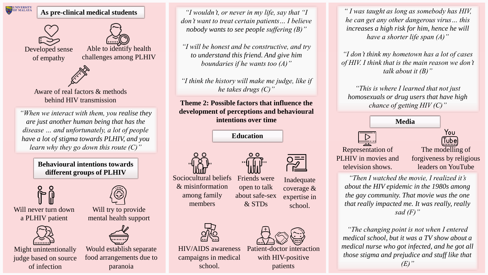

#### **As pre-clinical medical students**





Developed sense of empathy





Aware of real factors & methods behind HIV transmission

*"When we interact with them, you realise they are just another human being that has the disease … and unfortunately, a lot of people have a lot of stigma towards PLHIV, and you learn why they go down this route (C)"*

> **Behavioural intentions towards different groups of PLHIV**



Will never turn down a PLHIV patient



Might unintentionally judge based on source of infection



Will try to provide mental health support



Would establish separate food arrangements due to paranoia

*"I wouldn't, or never in my life, say that "I don't want to treat certain patients… I believe nobody wants to see people suffering (B)"*

*"I will be honest and be constructive, and try to understand this friend. And give him boundaries if he wants too (A)"*

*"I think the history will make me judge, like if he takes drugs (C)"*

### **Theme 2: Possible factors that influence the development of perceptions and behavioural intentions over time**

**Education**





& STDs

about safe-sex Sociocultural beliefs & misinformation among family members

Friends were open to talk

HIV/AIDS awareness campaigns in medical school.

Inadequate coverage & expertise in school.



Patient-doctor interaction with HIV-positive patients

*" I was taught as long as somebody has HIV, he can get any other dangerous virus… this increases a high risk for him, hence he will have a shorter life span (A)"*

*"I don't think my hometown has a lot of cases of HIV. I think that is the main reason we don't talk about it (B)"*

*"This is where I learned that not just homosexuals or drug users that have high chance of getting HIV (C)"*



*"Then I watched the movie, I realized it's about the HIV epidemic in the 1980s among the gay community. That movie was the one that really impacted me. It was really, really sad (F)"*

*"The changing point is not when I entered medical school, but it was a TV show about a medical nurse who got infected, and he got all those stigma and prejudice and stuff like that* 

 $(E)$